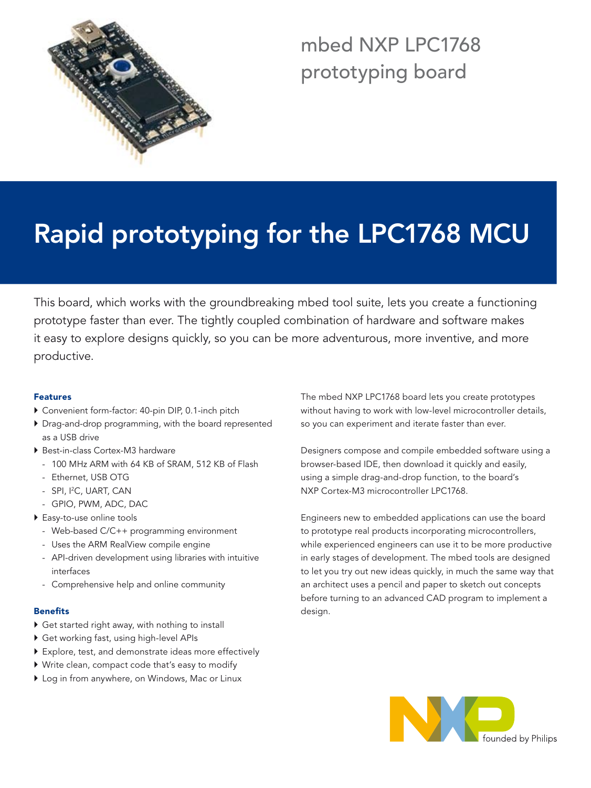

# mbed NXP LPC1768 prototyping board

# Rapid prototyping for the LPC1768 MCU

This board, which works with the groundbreaking mbed tool suite, lets you create a functioning prototype faster than ever. The tightly coupled combination of hardware and software makes it easy to explore designs quickly, so you can be more adventurous, more inventive, and more productive.

### Features

- } Convenient form-factor: 40-pin DIP, 0.1-inch pitch
- } Drag-and-drop programming, with the board represented as a USB drive
- ▶ Best-in-class Cortex-M3 hardware
	- 100 MHz ARM with 64 KB of SRAM, 512 KB of Flash
	- Ethernet, USB OTG
	- SPI, I2 C, UART, CAN
	- GPIO, PWM, ADC, DAC
- ▶ Easy-to-use online tools
	- Web-based C/C++ programming environment
	- Uses the ARM RealView compile engine
	- API-driven development using libraries with intuitive interfaces
	- Comprehensive help and online community

#### Benefits

- } Get started right away, with nothing to install
- } Get working fast, using high-level APIs
- } Explore, test, and demonstrate ideas more effectively
- } Write clean, compact code that's easy to modify
- ▶ Log in from anywhere, on Windows, Mac or Linux

The mbed NXP LPC1768 board lets you create prototypes without having to work with low-level microcontroller details, so you can experiment and iterate faster than ever.

Designers compose and compile embedded software using a browser-based IDE, then download it quickly and easily, using a simple drag-and-drop function, to the board's NXP Cortex-M3 microcontroller LPC1768.

Engineers new to embedded applications can use the board to prototype real products incorporating microcontrollers, while experienced engineers can use it to be more productive in early stages of development. The mbed tools are designed to let you try out new ideas quickly, in much the same way that an architect uses a pencil and paper to sketch out concepts before turning to an advanced CAD program to implement a design.

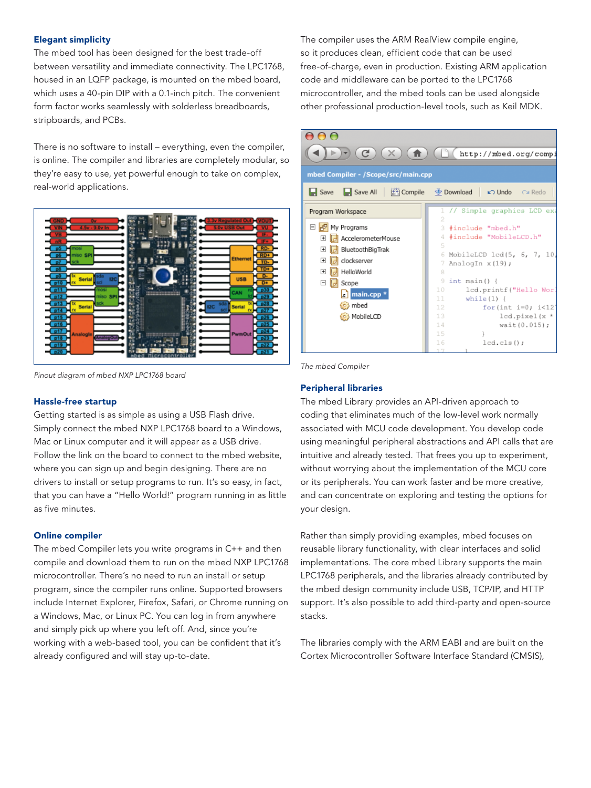#### Elegant simplicity

The mbed tool has been designed for the best trade-off between versatility and immediate connectivity. The LPC1768, housed in an LQFP package, is mounted on the mbed board, which uses a 40-pin DIP with a 0.1-inch pitch. The convenient form factor works seamlessly with solderless breadboards, stripboards, and PCBs.

There is no software to install – everything, even the compiler, is online. The compiler and libraries are completely modular, so they're easy to use, yet powerful enough to take on complex, real-world applications.



*Pinout diagram of mbed NXP LPC1768 board*

#### Hassle-free startup

Getting started is as simple as using a USB Flash drive. Simply connect the mbed NXP LPC1768 board to a Windows, Mac or Linux computer and it will appear as a USB drive. Follow the link on the board to connect to the mbed website, where you can sign up and begin designing. There are no drivers to install or setup programs to run. It's so easy, in fact, that you can have a "Hello World!" program running in as little as five minutes.

#### Online compiler

The mbed Compiler lets you write programs in C++ and then compile and download them to run on the mbed NXP LPC1768 microcontroller. There's no need to run an install or setup program, since the compiler runs online. Supported browsers include Internet Explorer, Firefox, Safari, or Chrome running on a Windows, Mac, or Linux PC. You can log in from anywhere and simply pick up where you left off. And, since you're working with a web-based tool, you can be confident that it's already configured and will stay up-to-date.

The compiler uses the ARM RealView compile engine, so it produces clean, efficient code that can be used free-of-charge, even in production. Existing ARM application code and middleware can be ported to the LPC1768 microcontroller, and the mbed tools can be used alongside other professional production-level tools, such as Keil MDK.



*The mbed Compiler*

# Peripheral libraries

The mbed Library provides an API-driven approach to coding that eliminates much of the low-level work normally associated with MCU code development. You develop code using meaningful peripheral abstractions and API calls that are intuitive and already tested. That frees you up to experiment, without worrying about the implementation of the MCU core or its peripherals. You can work faster and be more creative, and can concentrate on exploring and testing the options for your design.

Rather than simply providing examples, mbed focuses on reusable library functionality, with clear interfaces and solid implementations. The core mbed Library supports the main LPC1768 peripherals, and the libraries already contributed by the mbed design community include USB, TCP/IP, and HTTP support. It's also possible to add third-party and open-source stacks.

The libraries comply with the ARM EABI and are built on the Cortex Microcontroller Software Interface Standard (CMSIS),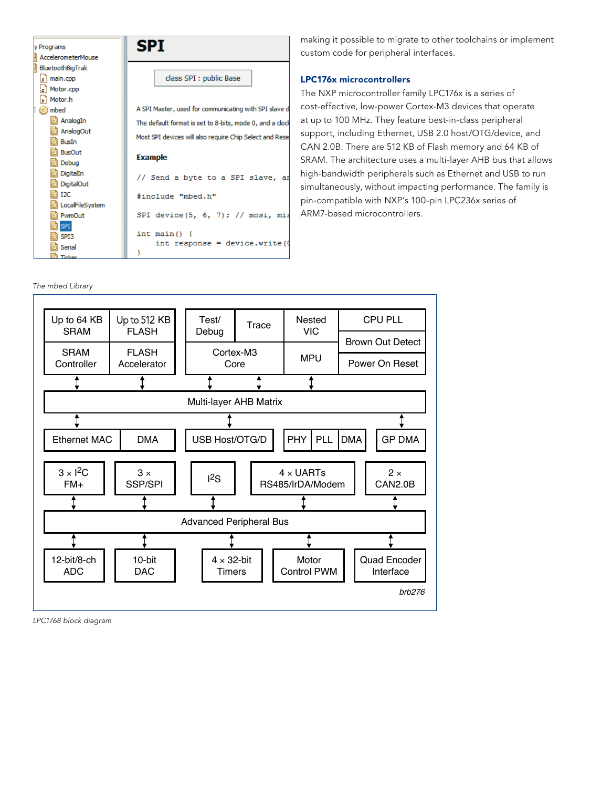



making it possible to migrate to other toolchains or implement custom code for peripheral interfaces.

#### LPC176x microcontrollers

The NXP microcontroller family LPC176x is a series of cost-effective, low-power Cortex-M3 devices that operate at up to 100 MHz. They feature best-in-class peripheral support, including Ethernet, USB 2.0 host/OTG/device, and CAN 2.0B. There are 512 KB of Flash memory and 64 KB of SRAM. The architecture uses a multi-layer AHB bus that allows high-bandwidth peripherals such as Ethernet and USB to run simultaneously, without impacting performance. The family is pin-compatible with NXP's 100-pin LPC236x series of ARM7-based microcontrollers.



*LPC1768 block diagram*